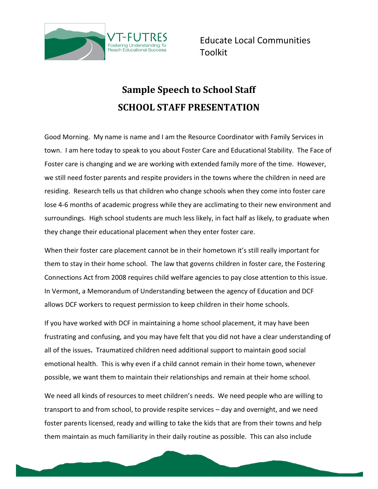

Educate Local Communities Toolkit

## **Sample Speech to School Staff SCHOOL STAFF PRESENTATION**

Good Morning. My name is name and I am the Resource Coordinator with Family Services in town. I am here today to speak to you about Foster Care and Educational Stability. The Face of Foster care is changing and we are working with extended family more of the time. However, we still need foster parents and respite providers in the towns where the children in need are residing. Research tells us that children who change schools when they come into foster care lose 4-6 months of academic progress while they are acclimating to their new environment and surroundings. High school students are much less likely, in fact half as likely, to graduate when they change their educational placement when they enter foster care.

When their foster care placement cannot be in their hometown it's still really important for them to stay in their home school. The law that governs children in foster care, the Fostering Connections Act from 2008 requires child welfare agencies to pay close attention to this issue. In Vermont, a Memorandum of Understanding between the agency of Education and DCF allows DCF workers to request permission to keep children in their home schools.

If you have worked with DCF in maintaining a home school placement, it may have been frustrating and confusing, and you may have felt that you did not have a clear understanding of all of the issues**.** Traumatized children need additional support to maintain good social emotional health. This is why even if a child cannot remain in their home town, whenever possible, we want them to maintain their relationships and remain at their home school.

We need all kinds of resources to meet children's needs. We need people who are willing to transport to and from school, to provide respite services – day and overnight, and we need foster parents licensed, ready and willing to take the kids that are from their towns and help them maintain as much familiarity in their daily routine as possible. This can also include